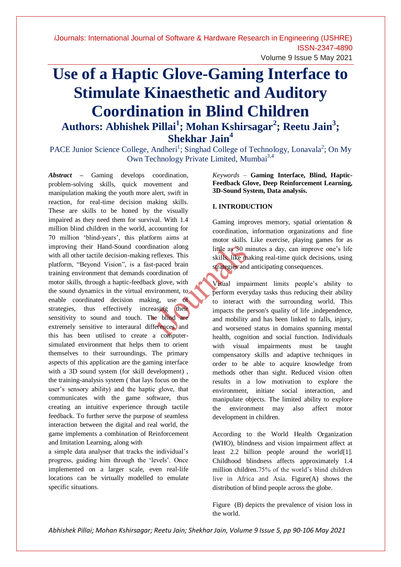# Volume 9 Issue 5 May 2021

# **Use of a Haptic Glove-Gaming Interface to Stimulate Kinaesthetic and Auditory Coordination in Blind Children Authors: Abhishek Pillai<sup>1</sup> ; Mohan Kshirsagar<sup>2</sup> ; Reetu Jain<sup>3</sup> ; Shekhar Jain<sup>4</sup>**

PACE Junior Science College, Andheri<sup>1</sup>; Singhad College of Technology, Lonavala<sup>2</sup>; On My Own Technology Private Limited, Mumbai<sup>3,4</sup>

*Abstract* **–** Gaming develops coordination, problem-solving skills, quick movement and manipulation making the youth more alert, swift in reaction, for real-time decision making skills. These are skills to be honed by the visually impaired as they need them for survival. With 1.4 million blind children in the world, accounting for 70 million "blind-years", this platform aims at improving their Hand-Sound coordination along with all other tactile decision-making reflexes. This platform, "Beyond Vision", is a fast-paced brain training environment that demands coordination of motor skills, through a haptic-feedback glove, with the sound dynamics in the virtual environment, to enable coordinated decision making, use of strategies, thus effectively increasing their sensitivity to sound and touch. The blind are extremely sensitive to interaural differences and this has been utilised to create a computersimulated environment that helps them to orient themselves to their surroundings. The primary aspects of this application are the gaming interface with a 3D sound system (for skill development) , the training-analysis system ( that lays focus on the user"s sensory ability) and the haptic glove, that communicates with the game software, thus creating an intuitive experience through tactile feedback. To further serve the purpose of seamless interaction between the digital and real world, the game implements a combination of Reinforcement and Imitation Learning, along with

a simple data analyser that tracks the individual"s progress, guiding him through the "levels". Once implemented on a larger scale, even real-life locations can be virtually modelled to emulate specific situations.

*Keywords* – **Gaming Interface, Blind, Haptic-Feedback Glove, Deep Reinforcement Learning, 3D-Sound System, Data analysis.**

#### **I. INTRODUCTION**

Gaming improves memory, spatial orientation & coordination, information organizations and fine motor skills. Like exercise, playing games for as little as 30 minutes a day, can improve one's life skills, like making real-time quick decisions, using strategies and anticipating consequences.

Visual impairment limits people"s ability to perform everyday tasks thus reducing their ability to interact with the surrounding world. This impacts the person's quality of life ,independence, and mobility and has been linked to falls, injury, and worsened status in domains spanning mental health, cognition and social function. Individuals with visual impairments must be taught compensatory skills and adaptive techniques in order to be able to acquire knowledge from methods other than sight. Reduced vision often results in a low motivation to explore the environment, initiate social interaction, and manipulate objects. The limited ability to explore the environment may also affect motor development in children.

According to the World Health Organization (WHO), blindness and vision impairment affect at least 2.2 billion people around the world[1]. Childhood blindness affects approximately 1.4 million children.75% of the world"s blind children live in Africa and Asia. Figure(A) shows the distribution of blind people across the globe.

Figure (B) depicts the prevalence of vision loss in the world.

*Abhishek Pillai; Mohan Kshirsagar; Reetu Jain; Shekhar Jain, Volume 9 Issue 5, pp 90-106 May 2021*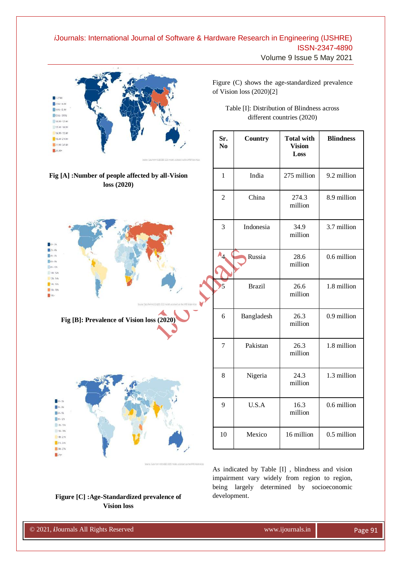Volume 9 Issue 5 May 2021



As indicated by Table [I] , blindness and vision impairment vary widely from region to region, being largely determined by socioeconomic development.

#### **Figure [C] :Age-Standardized prevalence of Vision loss**

© 2020, *i*Journals All Rights Reserved www.ijournals.in

© 2021, *i*Journals All Rights Reserved www.ijournals.in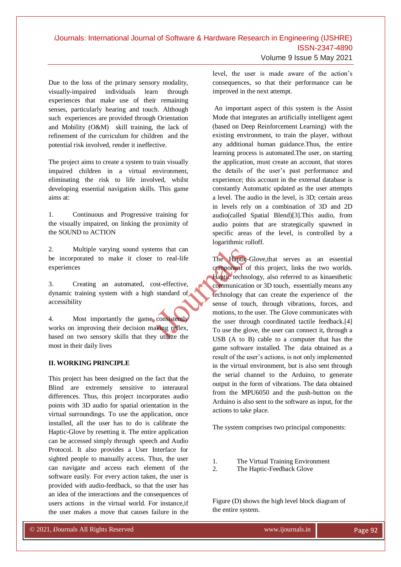Volume 9 Issue 5 May 2021

Due to the loss of the primary sensory modality, visually-impaired individuals learn through experiences that make use of their remaining senses, particularly hearing and touch. Although such experiences are provided through Orientation and Mobility (O&M) skill training, the lack of refinement of the curriculum for children and the potential risk involved, render it ineffective.

The project aims to create a system to train visually impaired children in a virtual environment, eliminating the risk to life involved, whilst developing essential navigation skills. This game aims at:

1. Continuous and Progressive training for the visually impaired, on linking the proximity of the SOUND to ACTION

2. Multiple varying sound systems that can be incorporated to make it closer to real-life experiences

3. Creating an automated, cost-effective, dynamic training system with a high standard of accessibility

4. Most importantly the game consistently works on improving their decision making reflex, based on two sensory skills that they utilize the most in their daily lives

#### **II. WORKING PRINCIPLE**

This project has been designed on the fact that the Blind are extremely sensitive to interaural differences. Thus, this project incorporates audio points with 3D audio for spatial orientation in the virtual surroundings. To use the application, once installed, all the user has to do is calibrate the Haptic-Glove by resetting it. The entire application can be accessed simply through speech and Audio Protocol. It also provides a User Interface for sighted people to manually access. Thus, the user can navigate and access each element of the software easily. For every action taken, the user is provided with audio-feedback, so that the user has an idea of the interactions and the consequences of users actions in the virtual world. For instance,if the user makes a move that causes failure in the

© 2020, *i*Journals All Rights Reserved www.ijournals.in

level, the user is made aware of the action"s consequences, so that their performance can be improved in the next attempt.

An important aspect of this system is the Assist Mode that integrates an artificially intelligent agent (based on Deep Reinforcement Learning) with the existing environment, to train the player, without any additional human guidance.Thus, the entire learning process is automated.The user, on starting the application, must create an account, that stores the details of the user"s past performance and experience; this account in the external database is constantly Automatic updated as the user attempts a level. The audio in the level, is 3D; certain areas in levels rely on a combination of 3D and 2D audio(called Spatial Blend)[3].This audio, from audio points that are strategically spawned in specific areas of the level, is controlled by a logarithmic rolloff.

The Haptic-Glove,that serves as an essential component of this project, links the two worlds. Haptic technology, also referred to as kinaesthetic communication or 3D touch, essentially means any technology that can create the experience of the sense of touch, through vibrations, forces, and motions, to the user. The Glove communicates with the user through coordinated tactile feedback.[4] To use the glove, the user can connect it, through a USB (A to B) cable to a computer that has the game software installed. The data obtained as a result of the user"s actions, is not only implemented in the virtual environment, but is also sent through the serial channel to the Arduino, to generate output in the form of vibrations. The data obtained from the MPU6050 and the push-button on the Arduino is also sent to the software as input, for the actions to take place.

The system comprises two principal components:

- 1. The Virtual Training Environment
- 2. The Haptic-Feedback Glove

Figure (D) shows the high level block diagram of the entire system.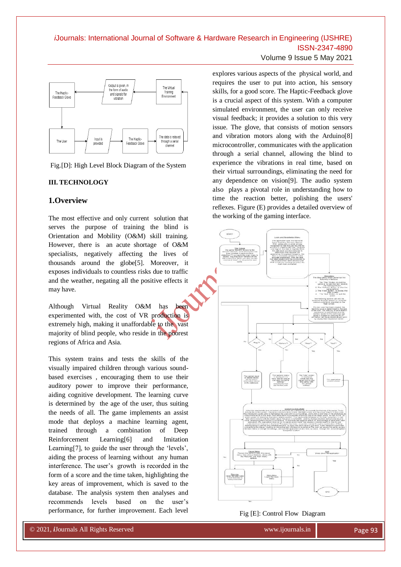



Fig.[D]: High Level Block Diagram of the System

### **III. TECHNOLOGY**

### **1.Overview**

The most effective and only current solution that serves the purpose of training the blind is Orientation and Mobility (O&M) skill training. However, there is an acute shortage of O&M specialists, negatively affecting the lives of thousands around the globe[5]. Moreover, it exposes individuals to countless risks due to traffic and the weather, negating all the positive effects it may have.

Although Virtual Reality O&M has been experimented with, the cost of VR production is extremely high, making it unaffordable to the vast majority of blind people, who reside in the poorest regions of Africa and Asia.

This system trains and tests the skills of the visually impaired children through various soundbased exercises , encouraging them to use their auditory power to improve their performance, aiding cognitive development. The learning curve is determined by the age of the user, thus suiting the needs of all. The game implements an assist mode that deploys a machine learning agent, trained through a combination of Deep Reinforcement Learning[6] and Imitation Learning<sup>[7]</sup>, to guide the user through the 'levels', aiding the process of learning without any human interference. The user's growth is recorded in the form of a score and the time taken, highlighting the key areas of improvement, which is saved to the database. The analysis system then analyses and recommends levels based on the user"s performance, for further improvement. Each level

© 2020, *i*Journals All Rights Reserved www.ijournals.in

explores various aspects of the physical world, and requires the user to put into action, his sensory skills, for a good score. The Haptic-Feedback glove is a crucial aspect of this system. With a computer simulated environment, the user can only receive visual feedback; it provides a solution to this very issue. The glove, that consists of motion sensors and vibration motors along with the Arduino[8] microcontroller, communicates with the application through a serial channel, allowing the blind to experience the vibrations in real time, based on their virtual surroundings, eliminating the need for any dependence on vision[9]. The audio system also plays a pivotal role in understanding how to time the reaction better, polishing the users' reflexes. Figure (E) provides a detailed overview of the working of the gaming interface.



Fig [E]: Control Flow Diagram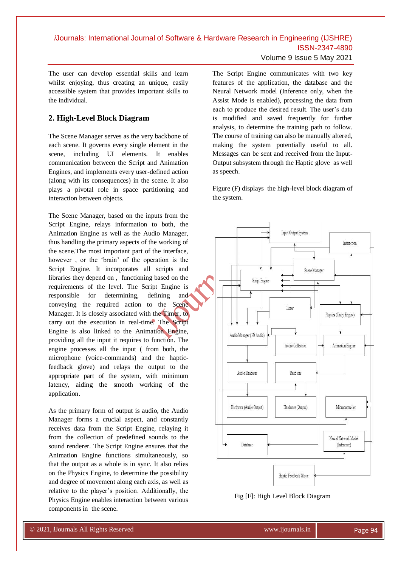Volume 9 Issue 5 May 2021

The user can develop essential skills and learn whilst enjoying, thus creating an unique, easily accessible system that provides important skills to the individual.

## **2. High-Level Block Diagram**

The Scene Manager serves as the very backbone of each scene. It governs every single element in the scene, including UI elements. It enables communication between the Script and Animation Engines, and implements every user-defined action (along with its consequences) in the scene. It also plays a pivotal role in space partitioning and interaction between objects.

The Scene Manager, based on the inputs from the Script Engine, relays information to both, the Animation Engine as well as the Audio Manager, thus handling the primary aspects of the working of the scene.The most important part of the interface, however , or the "brain" of the operation is the Script Engine. It incorporates all scripts and libraries they depend on , functioning based on the requirements of the level. The Script Engine is responsible for determining, defining and conveying the required action to the Scene Manager. It is closely associated with the Timer, to carry out the execution in real-time. The Script Engine is also linked to the Animation Engine, providing all the input it requires to function. The engine processes all the input ( from both, the microphone (voice-commands) and the hapticfeedback glove) and relays the output to the appropriate part of the system, with minimum latency, aiding the smooth working of the application.

As the primary form of output is audio, the Audio Manager forms a crucial aspect, and constantly receives data from the Script Engine, relaying it from the collection of predefined sounds to the sound renderer. The Script Engine ensures that the Animation Engine functions simultaneously, so that the output as a whole is in sync. It also relies on the Physics Engine, to determine the possibility and degree of movement along each axis, as well as relative to the player"s position. Additionally, the Physics Engine enables interaction between various components in the scene.

© 2020, *i*Journals All Rights Reserved www.ijournals.in

The Script Engine communicates with two key features of the application, the database and the Neural Network model (Inference only, when the Assist Mode is enabled), processing the data from each to produce the desired result. The user's data is modified and saved frequently for further analysis, to determine the training path to follow. The course of training can also be manually altered, making the system potentially useful to all. Messages can be sent and received from the Input-Output subsystem through the Haptic glove as well as speech.

Figure (F) displays the high-level block diagram of the system.



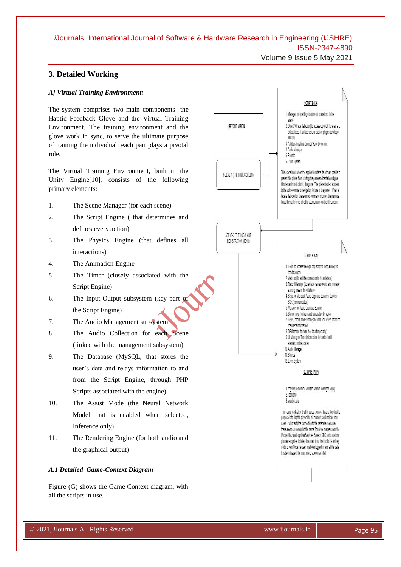Volume 9 Issue 5 May 2021

### **3. Detailed Working**

#### *A] Virtual Training Environment:*

The system comprises two main components- the Haptic Feedback Glove and the Virtual Training Environment. The training environment and the glove work in sync, to serve the ultimate purpose of training the individual; each part plays a pivotal role.

The Virtual Training Environment, built in the Unity Engine[10], consists of the following primary elements:

- 1. The Scene Manager (for each scene)
- 2. The Script Engine ( that determines and defines every action)
- 3. The Physics Engine (that defines all interactions)
- 4. The Animation Engine
- 5. The Timer (closely associated with the Script Engine)
- 6. The Input-Output subsystem (key part of the Script Engine)
- 7. The Audio Management subsystem
- 8. The Audio Collection for each Scene (linked with the management subsystem)
- 9. The Database (MySQL, that stores the user"s data and relays information to and from the Script Engine, through PHP Scripts associated with the engine)
- 10. The Assist Mode (the Neural Network Model that is enabled when selected, Inference only)
- 11. The Rendering Engine (for both audio and the graphical output)

#### *A.1 Detailed Game-Context Diagram*

Figure (G) shows the Game Context diagram, with all the scripts in use.

© 2020, *i*Journals All Rights Reserved www.ijournals.in

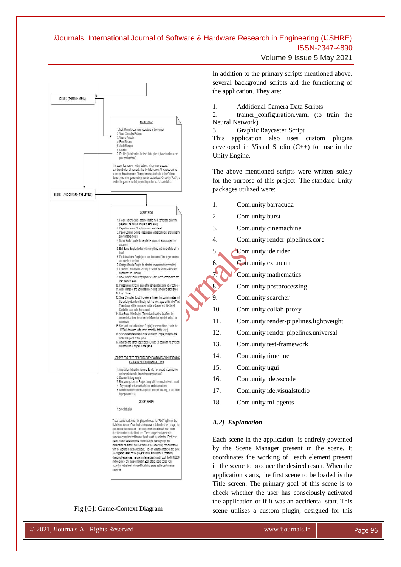Volume 9 Issue 5 May 2021



#### Fig [G]: Game-Context Diagram

© 2020, *i*Journals All Rights Reserved www.ijournals.in

In addition to the primary scripts mentioned above, several background scripts aid the functioning of the application. They are:

1. Additional Camera Data Scripts

2. trainer configuration.yaml (to train the Neural Network)

3. Graphic Raycaster Script

This application also uses custom plugins developed in Visual Studio (C++) for use in the Unity Engine.

The above mentioned scripts were written solely for the purpose of this project. The standard Unity packages utilized were:

- 1. Com.unity.barracuda
- 2. Com.unity.burst
- 3. Com.unity.cinemachine
- 4. Com.unity.render-pipelines.core
- 5. Com.unity.ide.rider
- 6. Com.unity.ext.nunit
	- 7. Com.unity.mathematics
- 8. Com.unity.postprocessing
- 9. Com.unity.searcher
- 10. Com.unity.collab-proxy
- 11. Com.unity.render-pipelines.lightweight
- 12. Com.unity.render-pipelines.universal
- 13. Com.unity.test-framework
- 14. Com.unity.timeline
- 15. Com.unity.ugui
- 16. Com.unity.ide.vscode
- 17. Com.unity.ide.visualstudio
- 18. Com.unity.ml-agents

#### *A.2] Explanation*

Each scene in the application is entirely governed by the Scene Manager present in the scene. It coordinates the working of each element present in the scene to produce the desired result. When the application starts, the first scene to be loaded is the Title screen. The primary goal of this scene is to check whether the user has consciously activated the application or if it was an accidental start. This scene utilises a custom plugin, designed for this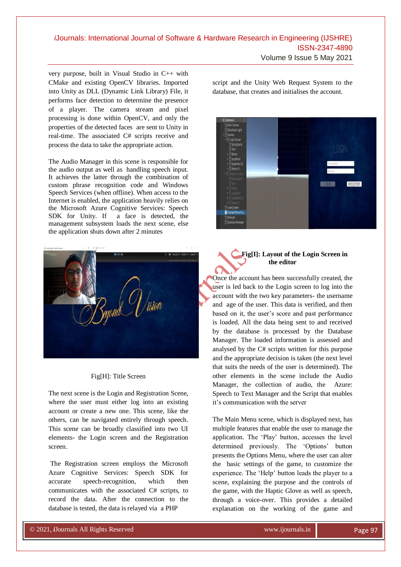very purpose, built in Visual Studio in C++ with CMake and existing OpenCV libraries. Imported into Unity as DLL (Dynamic Link Library) File, it performs face detection to determine the presence of a player. The camera stream and pixel processing is done within OpenCV, and only the properties of the detected faces are sent to Unity in real-time. The associated C# scripts receive and process the data to take the appropriate action.

The Audio Manager in this scene is responsible for the audio output as well as handling speech input. It achieves the latter through the combination of custom phrase recognition code and Windows Speech Services (when offline). When access to the Internet is enabled, the application heavily relies on the Microsoft Azure Cognitive Services: Speech SDK for Unity. If a face is detected, the management subsystem loads the next scene, else the application shuts down after 2 minutes



#### Fig[H]: Title Screen

The next scene is the Login and Registration Scene, where the user must either log into an existing account or create a new one. This scene, like the others, can be navigated entirely through speech. This scene can be broadly classified into two UI elements- the Login screen and the Registration screen.

The Registration screen employs the Microsoft Azure Cognitive Services: Speech SDK for accurate speech-recognition, which then communicates with the associated C# scripts, to record the data. After the connection to the database is tested, the data is relayed via a PHP

© 2020, *i*Journals All Rights Reserved www.ijournals.in

Volume 9 Issue 5 May 2021

script and the Unity Web Request System to the database, that creates and initialises the account.



### **Fig[I]: Layout of the Login Screen in the editor**

Once the account has been successfully created, the user is led back to the Login screen to log into the account with the two key parameters- the username and age of the user. This data is verified, and then based on it, the user's score and past performance is loaded. All the data being sent to and received by the database is processed by the Database Manager. The loaded information is assessed and analysed by the C# scripts written for this purpose and the appropriate decision is taken (the next level that suits the needs of the user is determined). The other elements in the scene include the Audio Manager, the collection of audio, the Azure: Speech to Text Manager and the Script that enables it"s communication with the server

The Main Menu scene, which is displayed next, has multiple features that enable the user to manage the application. The "Play" button, accesses the level determined previously. The "Options" button presents the Options Menu, where the user can alter the basic settings of the game, to customize the experience. The "Help" button leads the player to a scene, explaining the purpose and the controls of the game, with the Haptic Glove as well as speech, through a voice-over. This provides a detailed explanation on the working of the game and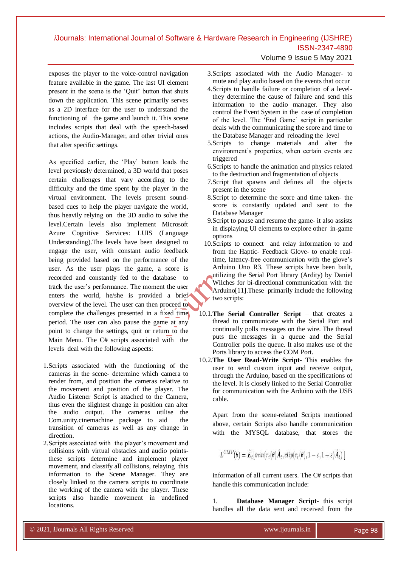exposes the player to the voice-control navigation feature available in the game. The last UI element present in the scene is the "Quit" button that shuts down the application. This scene primarily serves as a 2D interface for the user to understand the functioning of the game and launch it. This scene includes scripts that deal with the speech-based actions, the Audio-Manager, and other trivial ones that alter specific settings.

As specified earlier, the "Play" button loads the level previously determined, a 3D world that poses certain challenges that vary according to the difficulty and the time spent by the player in the virtual environment. The levels present soundbased cues to help the player navigate the world, thus heavily relying on the 3D audio to solve the level.Certain levels also implement Microsoft Azure Cognitive Services: LUIS (Language Understanding).The levels have been designed to engage the user, with constant audio feedback being provided based on the performance of the user. As the user plays the game, a score is recorded and constantly fed to the database to track the user"s performance. The moment the user enters the world, he/she is provided a brief overview of the level. The user can then proceed to complete the challenges presented in a fixed time period. The user can also pause the game at any point to change the settings, quit or return to the Main Menu. The C# scripts associated with the levels deal with the following aspects:

- 1.Scripts associated with the functioning of the cameras in the scene- determine which camera to render from, and position the cameras relative to the movement and position of the player. The Audio Listener Script is attached to the Camera, thus even the slightest change in position can alter the audio output. The cameras utilise the Com.unity.cinemachine package to aid the transition of cameras as well as any change in direction.
- 2.Scripts associated with the player"s movement and collisions with virtual obstacles and audio pointsthese scripts determine and implement player movement, and classify all collisions, relaying this information to the Scene Manager. They are closely linked to the camera scripts to coordinate the working of the camera with the player. These scripts also handle movement in undefined locations.

© 2020, *i*Journals All Rights Reserved www.ijournals.in

- Volume 9 Issue 5 May 2021
- 3.Scripts associated with the Audio Manager- to mute and play audio based on the events that occur
- 4.Scripts to handle failure or completion of a levelthey determine the cause of failure and send this information to the audio manager. They also control the Event System in the case of completion of the level. The "End Game" script in particular deals with the communicating the score and time to the Database Manager and reloading the level
- 5.Scripts to change materials and alter the environment's properties, when certain events are triggered
- 6.Scripts to handle the animation and physics related to the destruction and fragmentation of objects
- 7.Script that spawns and defines all the objects present in the scene
- 8.Script to determine the score and time taken- the score is constantly updated and sent to the Database Manager
- 9.Script to pause and resume the game- it also assists in displaying UI elements to explore other in-game options
- 10.Scripts to connect and relay information to and from the Haptic- Feedback Glove- to enable realtime, latency-free communication with the glove's Arduino Uno R3. These scripts have been built, utilizing the Serial Port library (Ardity) by Daniel Wilches for bi-directional communication with the Arduino[11].These primarily include the following two scripts:
- 10.1.**The Serial Controller Script**  that creates a thread to communicate with the Serial Port and continually polls messages on the wire. The thread puts the messages in a queue and the Serial Controller polls the queue. It also makes use of the Ports library to access the COM Port.
- 10.2.**The User Read-Write Script** This enables the user to send custom input and receive output, through the Arduino, based on the specifications of the level. It is closely linked to the Serial Controller for communication with the Arduino with the USB cable.

Apart from the scene-related Scripts mentioned above, certain Scripts also handle communication with the MYSQL database, that stores the

$$
L^{CLIP}(\theta) = \hat{E}_t[\min(r_t(\theta)\hat{A}_t, clip(r_t(\theta), 1-\varepsilon, 1+\varepsilon)\hat{A}_t)]
$$

information of all current users. The C# scripts that handle this communication include:

1. **Database Manager Script**- this script handles all the data sent and received from the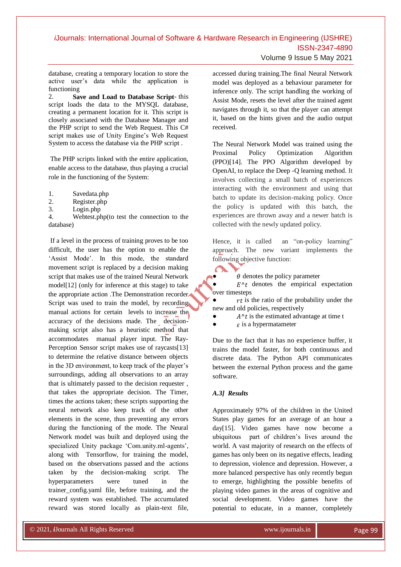Volume 9 Issue 5 May 2021

database, creating a temporary location to store the active user"s data while the application is functioning

2. **Save and Load to Database Script**- this script loads the data to the MYSQL database, creating a permanent location for it. This script is closely associated with the Database Manager and the PHP script to send the Web Request. This C# script makes use of Unity Engine"s Web Request System to access the database via the PHP script .

The PHP scripts linked with the entire application, enable access to the database, thus playing a crucial role in the functioning of the System:

- 1. Savedata.php
- 2. Register.php
- 3. Login.php

4. Webtest.php(to test the connection to the database)

If a level in the process of training proves to be too difficult, the user has the option to enable the 'Assist Mode'. In this mode, the standard movement script is replaced by a decision making script that makes use of the trained Neural Network model[12] (only for inference at this stage) to take the appropriate action .The Demonstration recorder Script was used to train the model, by recording manual actions for certain levels to increase the accuracy of the decisions made. The decisionmaking script also has a heuristic method that accommodates manual player input. The Ray-Perception Sensor script makes use of raycasts[13] to determine the relative distance between objects in the 3D environment, to keep track of the player"s surroundings, adding all observations to an array that is ultimately passed to the decision requester , that takes the appropriate decision. The Timer, times the actions taken; these scripts supporting the neural network also keep track of the other elements in the scene, thus preventing any errors during the functioning of the mode. The Neural Network model was built and deployed using the specialized Unity package 'Com.unity.ml-agents', along with Tensorflow, for training the model, based on the observations passed and the actions taken by the decision-making script. The hyperparameters were tuned in the trainer\_config.yaml file, before training, and the reward system was established. The accumulated reward was stored locally as plain-text file,

accessed during training.The final Neural Network model was deployed as a behaviour parameter for inference only. The script handling the working of Assist Mode, resets the level after the trained agent navigates through it, so that the player can attempt it, based on the hints given and the audio output received.

The Neural Network Model was trained using the Proximal Policy Optimization Algorithm (PPO)[14]. The PPO Algorithm developed by OpenAI, to replace the Deep -Q learning method. It involves collecting a small batch of experiences interacting with the environment and using that batch to update its decision-making policy. Once the policy is updated with this batch, the experiences are thrown away and a newer batch is collected with the newly updated policy.

Hence, it is called an "on-policy learning" approach. The new variant implements the following objective function:

 $\theta$  denotes the policy parameter

 $\bullet$   $E^{\wedge} t$  denotes the empirical expectation over timesteps

 $rt$  is the ratio of the probability under the new and old policies, respectively

- $A^t$  is the estimated advantage at time t
- $\epsilon$  is a hypermatameter

Due to the fact that it has no experience buffer, it trains the model faster, for both continuous and discrete data. The Python API communicates between the external Python process and the game software.

#### *A.3] Results*

C

Approximately 97% of the children in the United States play games for an average of an hour a day[15]. Video games have now become a ubiquitous part of children"s lives around the world. A vast majority of research on the effects of games has only been on its negative effects, leading to depression, violence and depression. However, a more balanced perspective has only recently begun to emerge, highlighting the possible benefits of playing video games in the areas of cognitive and social development. Video games have the potential to educate, in a manner, completely

© 2020, *i*Journals All Rights Reserved www.ijournals.in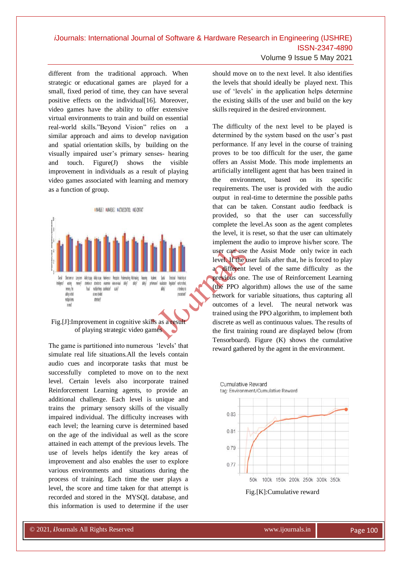different from the traditional approach. When strategic or educational games are played for a small, fixed period of time, they can have several positive effects on the individual [16]. Moreover, video games have the ability to offer extensive virtual environments to train and build on essential real-world skills."Beyond Vision" relies on a similar approach and aims to develop navigation and spatial orientation skills, by building on the visually impaired user"s primary senses- hearing and touch. Figure(J) shows the visible improvement in individuals as a result of playing video games associated with learning and memory as a function of group.



Fig.[J]:Improvement in cognitive skills as a result of playing strategic video games

The game is partitioned into numerous "levels" that simulate real life situations.All the levels contain audio cues and incorporate tasks that must be successfully completed to move on to the next level. Certain levels also incorporate trained Reinforcement Learning agents, to provide an additional challenge. Each level is unique and trains the primary sensory skills of the visually impaired individual. The difficulty increases with each level; the learning curve is determined based on the age of the individual as well as the score attained in each attempt of the previous levels. The use of levels helps identify the key areas of improvement and also enables the user to explore various environments and situations during the process of training. Each time the user plays a level, the score and time taken for that attempt is recorded and stored in the MYSQL database, and this information is used to determine if the user

© 2020, *i*Journals All Rights Reserved www.ijournals.in

Volume 9 Issue 5 May 2021

should move on to the next level. It also identifies the levels that should ideally be played next. This use of "levels" in the application helps determine the existing skills of the user and build on the key skills required in the desired environment.

The difficulty of the next level to be played is determined by the system based on the user"s past performance. If any level in the course of training proves to be too difficult for the user, the game offers an Assist Mode. This mode implements an artificially intelligent agent that has been trained in the environment, based on its specific requirements. The user is provided with the audio output in real-time to determine the possible paths that can be taken. Constant audio feedback is provided, so that the user can successfully complete the level.As soon as the agent completes the level, it is reset, so that the user can ultimately implement the audio to improve his/her score. The user can use the Assist Mode only twice in each level. If the user fails after that, he is forced to play a different level of the same difficulty as the previous one. The use of Reinforcement Learning (the PPO algorithm) allows the use of the same network for variable situations, thus capturing all outcomes of a level. The neural network was trained using the PPO algorithm, to implement both discrete as well as continuous values. The results of the first training round are displayed below (from Tensorboard). Figure (K) shows the cumulative reward gathered by the agent in the environment.



Fig.[K]:Cumulative reward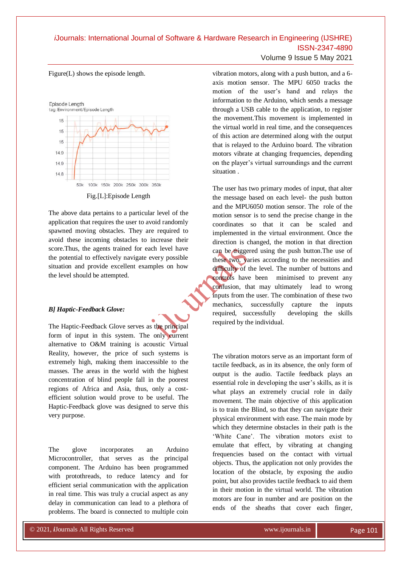Figure(L) shows the episode length.



Fig.[L]:Episode Length

The above data pertains to a particular level of the application that requires the user to avoid randomly spawned moving obstacles. They are required to avoid these incoming obstacles to increase their score.Thus, the agents trained for each level have the potential to effectively navigate every possible situation and provide excellent examples on how the level should be attempted.

#### *B] Haptic-Feedback Glove:*

The Haptic-Feedback Glove serves as the principal form of input in this system. The only current alternative to O&M training is acoustic Virtual Reality, however, the price of such systems is extremely high, making them inaccessible to the masses. The areas in the world with the highest concentration of blind people fall in the poorest regions of Africa and Asia, thus, only a costefficient solution would prove to be useful. The Haptic-Feedback glove was designed to serve this very purpose.

The glove incorporates an Arduino Microcontroller, that serves as the principal component. The Arduino has been programmed with protothreads, to reduce latency and for efficient serial communication with the application in real time. This was truly a crucial aspect as any delay in communication can lead to a plethora of problems. The board is connected to multiple coin

© 2020, *i*Journals All Rights Reserved www.ijournals.in

Volume 9 Issue 5 May 2021

vibration motors, along with a push button, and a 6 axis motion sensor. The MPU 6050 tracks the motion of the user"s hand and relays the information to the Arduino, which sends a message through a USB cable to the application, to register the movement.This movement is implemented in the virtual world in real time, and the consequences of this action are determined along with the output that is relayed to the Arduino board. The vibration motors vibrate at changing frequencies, depending on the player"s virtual surroundings and the current situation .

The user has two primary modes of input, that alter the message based on each level- the push button and the MPU6050 motion sensor. The role of the motion sensor is to send the precise change in the coordinates so that it can be scaled and implemented in the virtual environment. Once the direction is changed, the motion in that direction can be triggered using the push button. The use of these two, varies according to the necessities and difficulty of the level. The number of buttons and controls have been minimised to prevent any confusion, that may ultimately lead to wrong inputs from the user. The combination of these two mechanics, successfully capture the inputs required, successfully developing the skills required by the individual.

The vibration motors serve as an important form of tactile feedback, as in its absence, the only form of output is the audio. Tactile feedback plays an essential role in developing the user's skills, as it is what plays an extremely crucial role in daily movement. The main objective of this application is to train the Blind, so that they can navigate their physical environment with ease. The main mode by which they determine obstacles in their path is the 'White Cane'. The vibration motors exist to emulate that effect, by vibrating at changing frequencies based on the contact with virtual objects. Thus, the application not only provides the location of the obstacle, by exposing the audio point, but also provides tactile feedback to aid them in their motion in the virtual world. The vibration motors are four in number and are position on the ends of the sheaths that cover each finger,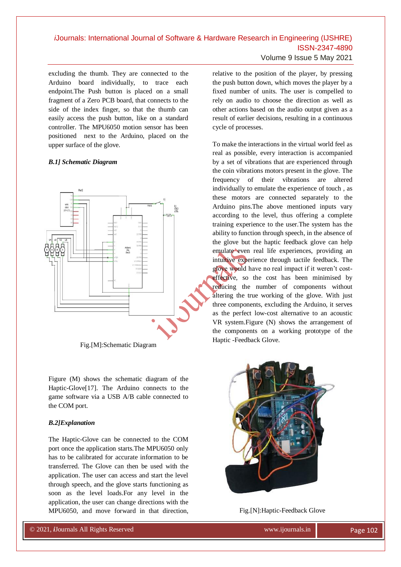excluding the thumb. They are connected to the Arduino board individually, to trace each endpoint.The Push button is placed on a small fragment of a Zero PCB board, that connects to the side of the index finger, so that the thumb can easily access the push button, like on a standard controller. The MPU6050 motion sensor has been positioned next to the Arduino, placed on the upper surface of the glove.

#### *B.1] Schematic Diagram*



Fig.[M]:Schematic Diagram

Figure (M) shows the schematic diagram of the Haptic-Glove[17]. The Arduino connects to the game software via a USB A/B cable connected to the COM port.

#### *B.2]Explanation*

The Haptic-Glove can be connected to the COM port once the application starts.The MPU6050 only has to be calibrated for accurate information to be transferred. The Glove can then be used with the application. The user can access and start the level through speech, and the glove starts functioning as soon as the level loads.For any level in the application, the user can change directions with the MPU6050, and move forward in that direction,

© 2020, *i*Journals All Rights Reserved www.ijournals.in

relative to the position of the player, by pressing the push button down, which moves the player by a fixed number of units. The user is compelled to rely on audio to choose the direction as well as other actions based on the audio output given as a result of earlier decisions, resulting in a continuous cycle of processes.

To make the interactions in the virtual world feel as real as possible, every interaction is accompanied by a set of vibrations that are experienced through the coin vibrations motors present in the glove. The frequency of their vibrations are altered individually to emulate the experience of touch , as these motors are connected separately to the Arduino pins.The above mentioned inputs vary according to the level, thus offering a complete training experience to the user.The system has the ability to function through speech, in the absence of the glove but the haptic feedback glove can help emulate even real life experiences, providing an intuitive experience through tactile feedback. The glove would have no real impact if it weren"t costeffective, so the cost has been minimised by reducing the number of components without altering the true working of the glove. With just three components, excluding the Arduino, it serves as the perfect low-cost alternative to an acoustic VR system.Figure (N) shows the arrangement of the components on a working prototype of the Haptic -Feedback Glove.



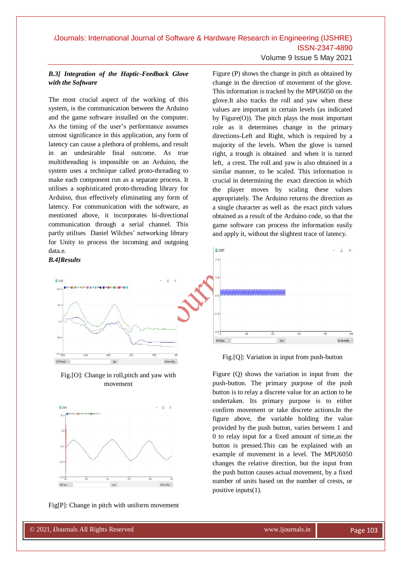### Volume 9 Issue 5 May 2021

### *B.3] Integration of the Haptic-Feedback Glove with the Software*

The most crucial aspect of the working of this system, is the communication between the Arduino and the game software installed on the computer. As the timing of the user's performance assumes utmost significance in this application, any form of latency can cause a plethora of problems, and result in an undesirable final outcome. As true multithreading is impossible on an Arduino, the system uses a technique called proto-threading to make each component run as a separate process. It utilises a sophisticated proto-threading library for Arduino, thus effectively eliminating any form of latency. For communication with the software, as mentioned above, it incorporates bi-directional communication through a serial channel. This partly utilises Daniel Wilches' networking library for Unity to process the incoming and outgoing data.e.

#### *B.4]Results*



Fig.[O]: Change in roll,pitch and yaw with movement



Fig[P]: Change in pitch with uniform movement

© 2020, *i*Journals All Rights Reserved www.ijournals.in

Figure (P) shows the change in pitch as obtained by change in the direction of movement of the glove. This information is tracked by the MPU6050 on the glove.It also tracks the roll and yaw when these values are important in certain levels (as indicated by Figure(O)). The pitch plays the most important role as it determines change in the primary directions-Left and Right, which is required by a majority of the levels. When the glove is turned right, a trough is obtained and when it is turned left, a crest. The roll and yaw is also obtained in a similar manner, to be scaled. This information is crucial in determining the exact direction in which the player moves by scaling these values appropriately. The Arduino returns the direction as a single character as well as the exact pitch values obtained as a result of the Arduino code, so that the game software can process the information easily and apply it, without the slightest trace of latency.



Fig.[Q]: Variation in input from push-button

Figure (Q) shows the variation in input from the push-button. The primary purpose of the push button is to relay a discrete value for an action to be undertaken. Its primary purpose is to either confirm movement or take discrete actions.In the figure above, the variable holding the value provided by the push button, varies between 1 and 0 to relay input for a fixed amount of time,as the button is pressed.This can be explained with an example of movement in a level. The MPU6050 changes the relative direction, but the input from the push button causes actual movement, by a fixed number of units based on the number of crests, or positive inputs(1).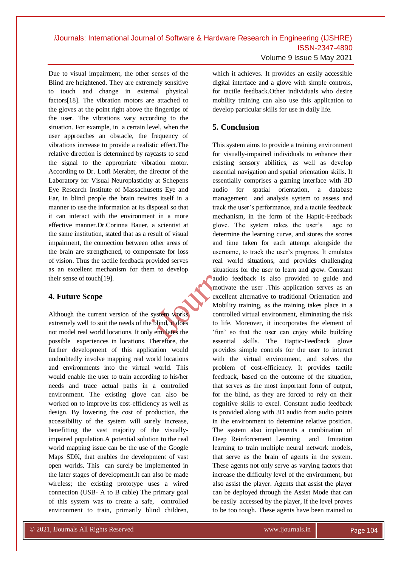Volume 9 Issue 5 May 2021

Due to visual impairment, the other senses of the Blind are heightened. They are extremely sensitive to touch and change in external physical factors[18]. The vibration motors are attached to the gloves at the point right above the fingertips of the user. The vibrations vary according to the situation. For example, in a certain level, when the user approaches an obstacle, the frequency of vibrations increase to provide a realistic effect.The relative direction is determined by raycasts to send the signal to the appropriate vibration motor. According to Dr. Lotfi Merabet, the director of the Laboratory for Visual Neuroplasticity at Schepens Eye Research Institute of Massachusetts Eye and Ear, in blind people the brain rewires itself in a manner to use the information at its disposal so that it can interact with the environment in a more effective manner.Dr.Corinna Bauer, a scientist at the same institution, stated that as a result of visual impairment, the connection between other areas of the brain are strengthened, to compensate for loss of vision. Thus the tactile feedback provided serves as an excellent mechanism for them to develop their sense of touch[19].

### **4. Future Scope**

Although the current version of the system works extremely well to suit the needs of the blind, it does not model real world locations. It only emulates the possible experiences in locations. Therefore, the further development of this application would undoubtedly involve mapping real world locations and environments into the virtual world. This would enable the user to train according to his/her needs and trace actual paths in a controlled environment. The existing glove can also be worked on to improve its cost-efficiency as well as design. By lowering the cost of production, the accessibility of the system will surely increase, benefitting the vast majority of the visuallyimpaired population.A potential solution to the real world mapping issue can be the use of the Google Maps SDK, that enables the development of vast open worlds. This can surely be implemented in the later stages of development.It can also be made wireless; the existing prototype uses a wired connection (USB- A to B cable) The primary goal of this system was to create a safe, controlled environment to train, primarily blind children,

© 2020, *i*Journals All Rights Reserved www.ijournals.in

which it achieves. It provides an easily accessible digital interface and a glove with simple controls, for tactile feedback.Other individuals who desire mobility training can also use this application to develop particular skills for use in daily life.

### **5. Conclusion**

This system aims to provide a training environment for visually-impaired individuals to enhance their existing sensory abilities, as well as develop essential navigation and spatial orientation skills. It essentially comprises a gaming interface with 3D audio for spatial orientation, a database management and analysis system to assess and track the user"s performance, and a tactile feedback mechanism, in the form of the Haptic-Feedback glove. The system takes the user"s age to determine the learning curve, and stores the scores and time taken for each attempt alongside the username, to track the user"s progress. It emulates real world situations, and provides challenging situations for the user to learn and grow. Constant audio feedback is also provided to guide and motivate the user .This application serves as an excellent alternative to traditional Orientation and Mobility training, as the training takes place in a controlled virtual environment, eliminating the risk to life. Moreover, it incorporates the element of "fun" so that the user can enjoy while building essential skills. The Haptic-Feedback glove provides simple controls for the user to interact with the virtual environment, and solves the problem of cost-efficiency. It provides tactile feedback, based on the outcome of the situation, that serves as the most important form of output, for the blind, as they are forced to rely on their cognitive skills to excel. Constant audio feedback is provided along with 3D audio from audio points in the environment to determine relative position. The system also implements a combination of Deep Reinforcement Learning and Imitation learning to train multiple neural network models, that serve as the brain of agents in the system. These agents not only serve as varying factors that increase the difficulty level of the environment, but also assist the player. Agents that assist the player can be deployed through the Assist Mode that can be easily accessed by the player, if the level proves to be too tough. These agents have been trained to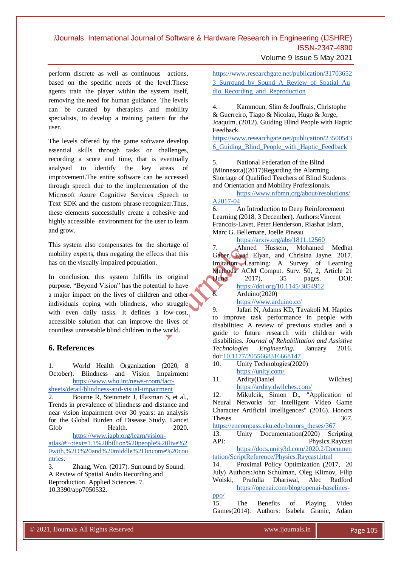Volume 9 Issue 5 May 2021

perform discrete as well as continuous actions, based on the specific needs of the level.These agents train the player within the system itself, removing the need for human guidance. The levels can be curated by therapists and mobility specialists, to develop a training pattern for the user.

The levels offered by the game software develop essential skills through tasks or challenges, recording a score and time, that is eventually analysed to identify the key areas of improvement.The entire software can be accessed through speech due to the implementation of the Microsoft Azure Cognitive Services :Speech to Text SDK and the custom phrase recognizer.Thus, these elements successfully create a cohesive and highly accessible environment for the user to learn and grow.

This system also compensates for the shortage of mobility experts, thus negating the effects that this has on the visually-impaired population.

In conclusion, this system fulfills its original purpose. "Beyond Vision" has the potential to have a major impact on the lives of children and other individuals coping with blindness, who struggle with even daily tasks. It defines a low-cost, accessible solution that can improve the lives of countless untreatable blind children in the world.

### **6. References**

1. World Health Organization (2020, 8 October). Blindness and Vision Impairment [https://www.who.int/news-room/fact](https://www.who.int/news-room/fact-sheets/detail/blindness-and-visual-impairment)[sheets/detail/blindness-and-visual-impairment](https://www.who.int/news-room/fact-sheets/detail/blindness-and-visual-impairment)

2. Bourne R, Steinmetz J, Flaxman S, et al., Trends in prevalence of blindness and distance and near vision impairment over 30 years: an analysis for the Global Burden of Disease Study. Lancet Glob Health. 2020.

[https://www.iapb.org/learn/vision](https://www.iapb.org/learn/vision-atlas/#:~:text=1.1%20billion%20people%20live%20with,%2D%20and%20middle%2Dincome%20countries)[atlas/#:~:text=1.1%20billion%20people%20live%2](https://www.iapb.org/learn/vision-atlas/#:~:text=1.1%20billion%20people%20live%20with,%2D%20and%20middle%2Dincome%20countries) [0with,%2D%20and%20middle%2Dincome%20cou](https://www.iapb.org/learn/vision-atlas/#:~:text=1.1%20billion%20people%20live%20with,%2D%20and%20middle%2Dincome%20countries) [ntries.](https://www.iapb.org/learn/vision-atlas/#:~:text=1.1%20billion%20people%20live%20with,%2D%20and%20middle%2Dincome%20countries)

3. Zhang, Wen. (2017). Surround by Sound: A Review of Spatial Audio Recording and Reproduction. Applied Sciences. 7. 10.3390/app7050532.

© 2020, *i*Journals All Rights Reserved www.ijournals.in

[https://www.researchgate.net/publication/31703652](https://www.researchgate.net/publication/317036523_Surround_by_Sound_A_Review_of_Spatial_Audio_Recording_and_Reproduction) [3\\_Surround\\_by\\_Sound\\_A\\_Review\\_of\\_Spatial\\_Au](https://www.researchgate.net/publication/317036523_Surround_by_Sound_A_Review_of_Spatial_Audio_Recording_and_Reproduction) [dio\\_Recording\\_and\\_Reproduction](https://www.researchgate.net/publication/317036523_Surround_by_Sound_A_Review_of_Spatial_Audio_Recording_and_Reproduction)

4. Kammoun, Slim & Jouffrais, Christophe & Guerreiro, Tiago & Nicolau, Hugo & Jorge, Joaquim. (2012). Guiding Blind People with Haptic Feedback.

[https://www.researchgate.net/publication/23500543](https://www.researchgate.net/publication/235005436_Guiding_Blind_People_with_Haptic_Feedback) [6\\_Guiding\\_Blind\\_People\\_with\\_Haptic\\_Feedback](https://www.researchgate.net/publication/235005436_Guiding_Blind_People_with_Haptic_Feedback)

5. National Federation of the Blind (Minnesota)(2017)Regarding the Alarming Shortage of Qualified Teachers of Blind Students and Orientation and Mobility Professionals.

[https://www.nfbmn.org/about/resolutions/](https://www.nfbmn.org/about/resolutions/A2017-04) [A2017-04](https://www.nfbmn.org/about/resolutions/A2017-04)

6. An Introduction to Deep Reinforcement Learning (2018, 3 December). Authors:Vincent Francois-Lavet, Peter Henderson, Riashat Islam, Marc G. Bellemare, Joelle Pineau

<https://arxiv.org/abs/1811.12560>

7. Ahmed Hussein, Mohamed Medhat Gaber, Eyad Elyan, and Chrisina Jayne. 2017. Imitation Learning: A Survey of Learning Methods. ACM Comput. Surv. 50, 2, Article 21 (June 2017), 35 pages. DOI: <https://doi.org/10.1145/3054912> 8. Arduino(2020) <https://www.arduino.cc/>

9. Jafari N, Adams KD, Tavakoli M. Haptics to improve task performance in people with disabilities: A review of previous studies and a guide to future research with children with disabilities. *Journal of Rehabilitation and Assistive Technologies Engineering*. January 2016. doi[:10.1177/2055668316668147](https://doi.org/10.1177/2055668316668147)

- 10. Unity Technologies(2020) <https://unity.com/>
- 11. Ardity(Daniel Wilches) <https://ardity.dwilches.com/>

12. Mikulcik, Simon D., "Application of Neural Networks for Intelligent Video Game Character Artificial Intelligences" (2016). Honors Theses. 367.

[https://encompass.eku.edu/honors\\_theses/367](https://encompass.eku.edu/honors_theses/367)

13. Unity Documentation(2020) Scripting API: Physics.Raycast [https://docs.unity3d.com/2020.2/Documen](https://docs.unity3d.com/2020.2/Documentation/ScriptReference/Physics.Raycast.html)

[tation/ScriptReference/Physics.Raycast.html](https://docs.unity3d.com/2020.2/Documentation/ScriptReference/Physics.Raycast.html) 14. Proximal Policy Optimization (2017, 20

July) Authors:John Schulman, Oleg Klimov, Filip Wolski, Prafulla Dhariwal, Alec Radford [https://openai.com/blog/openai-baselines](https://openai.com/blog/openai-baselines-ppo/)[ppo/](https://openai.com/blog/openai-baselines-ppo/)

15. The Benefits of Playing Video Games(2014). Authors: Isabela Granic, Adam